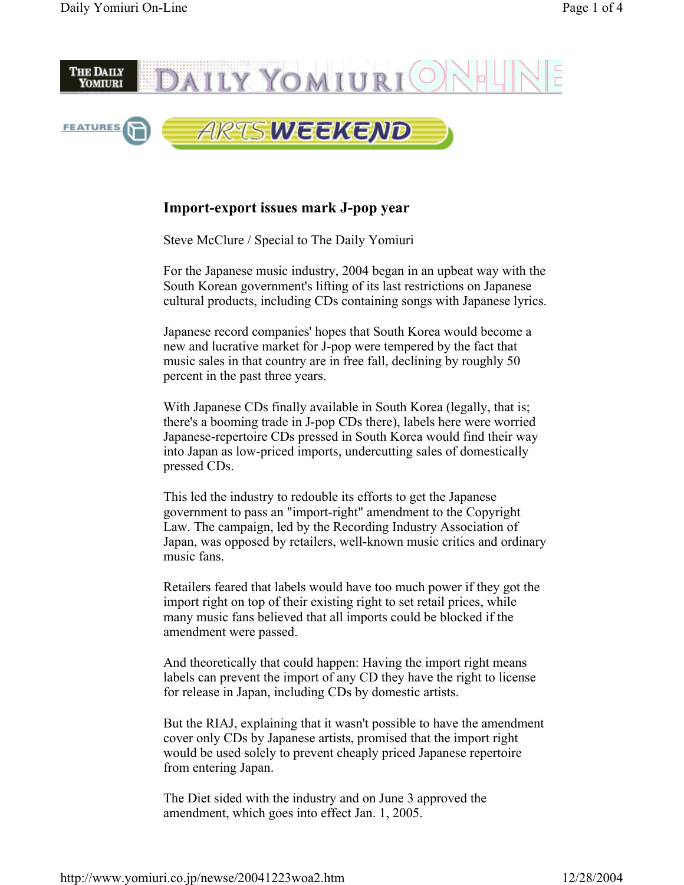

## **Import-export issues mark J-pop year**

Steve McClure / Special to The Daily Yomiuri

For the Japanese music industry, 2004 began in an upbeat way with the South Korean government's lifting of its last restrictions on Japanese cultural products, including CDs containing songs with Japanese lyrics.

Japanese record companies' hopes that South Korea would become a new and lucrative market for J-pop were tempered by the fact that music sales in that country are in free fall, declining by roughly 50 percent in the past three years.

With Japanese CDs finally available in South Korea (legally, that is; there's a booming trade in J-pop CDs there), labels here were worried Japanese-repertoire CDs pressed in South Korea would find their way into Japan as low-priced imports, undercutting sales of domestically pressed CDs.

This led the industry to redouble its efforts to get the Japanese government to pass an "import-right" amendment to the Copyright Law. The campaign, led by the Recording Industry Association of Japan, was opposed by retailers, well-known music critics and ordinary music fans.

Retailers feared that labels would have too much power if they got the import right on top of their existing right to set retail prices, while many music fans believed that all imports could be blocked if the amendment were passed.

And theoretically that could happen: Having the import right means labels can prevent the import of any CD they have the right to license for release in Japan, including CDs by domestic artists.

But the RIAJ, explaining that it wasn't possible to have the amendment cover only CDs by Japanese artists, promised that the import right would be used solely to prevent cheaply priced Japanese repertoire from entering Japan.

The Diet sided with the industry and on June 3 approved the amendment, which goes into effect Jan. 1, 2005.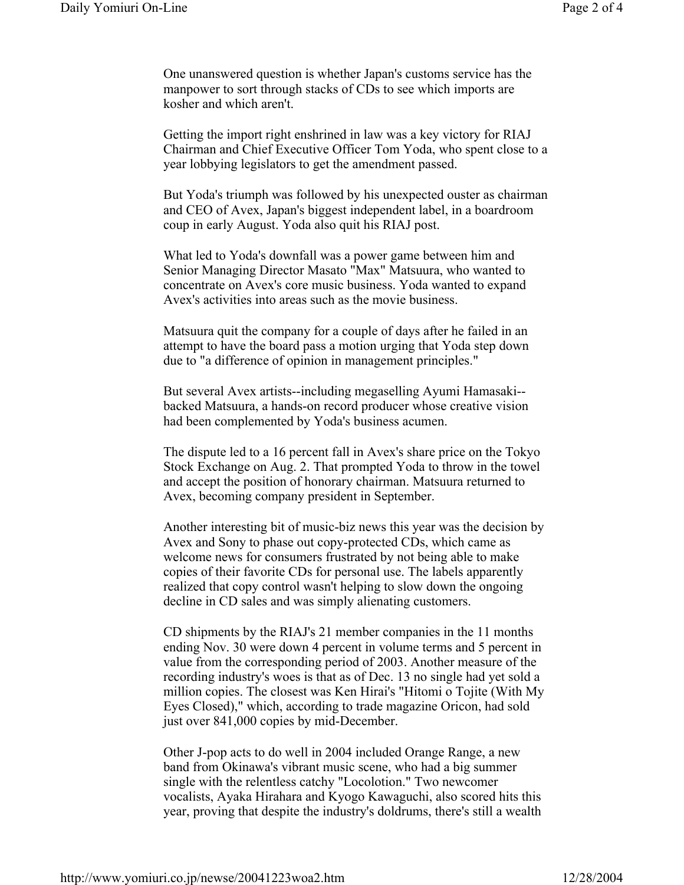One unanswered question is whether Japan's customs service has the manpower to sort through stacks of CDs to see which imports are kosher and which aren't.

Getting the import right enshrined in law was a key victory for RIAJ Chairman and Chief Executive Officer Tom Yoda, who spent close to a year lobbying legislators to get the amendment passed.

But Yoda's triumph was followed by his unexpected ouster as chairman and CEO of Avex, Japan's biggest independent label, in a boardroom coup in early August. Yoda also quit his RIAJ post.

What led to Yoda's downfall was a power game between him and Senior Managing Director Masato "Max" Matsuura, who wanted to concentrate on Avex's core music business. Yoda wanted to expand Avex's activities into areas such as the movie business.

Matsuura quit the company for a couple of days after he failed in an attempt to have the board pass a motion urging that Yoda step down due to "a difference of opinion in management principles."

But several Avex artists--including megaselling Ayumi Hamasaki- backed Matsuura, a hands-on record producer whose creative vision had been complemented by Yoda's business acumen.

The dispute led to a 16 percent fall in Avex's share price on the Tokyo Stock Exchange on Aug. 2. That prompted Yoda to throw in the towel and accept the position of honorary chairman. Matsuura returned to Avex, becoming company president in September.

Another interesting bit of music-biz news this year was the decision by Avex and Sony to phase out copy-protected CDs, which came as welcome news for consumers frustrated by not being able to make copies of their favorite CDs for personal use. The labels apparently realized that copy control wasn't helping to slow down the ongoing decline in CD sales and was simply alienating customers.

CD shipments by the RIAJ's 21 member companies in the 11 months ending Nov. 30 were down 4 percent in volume terms and 5 percent in value from the corresponding period of 2003. Another measure of the recording industry's woes is that as of Dec. 13 no single had yet sold a million copies. The closest was Ken Hirai's "Hitomi o Tojite (With My Eyes Closed)," which, according to trade magazine Oricon, had sold just over 841,000 copies by mid-December.

Other J-pop acts to do well in 2004 included Orange Range, a new band from Okinawa's vibrant music scene, who had a big summer single with the relentless catchy "Locolotion." Two newcomer vocalists, Ayaka Hirahara and Kyogo Kawaguchi, also scored hits this year, proving that despite the industry's doldrums, there's still a wealth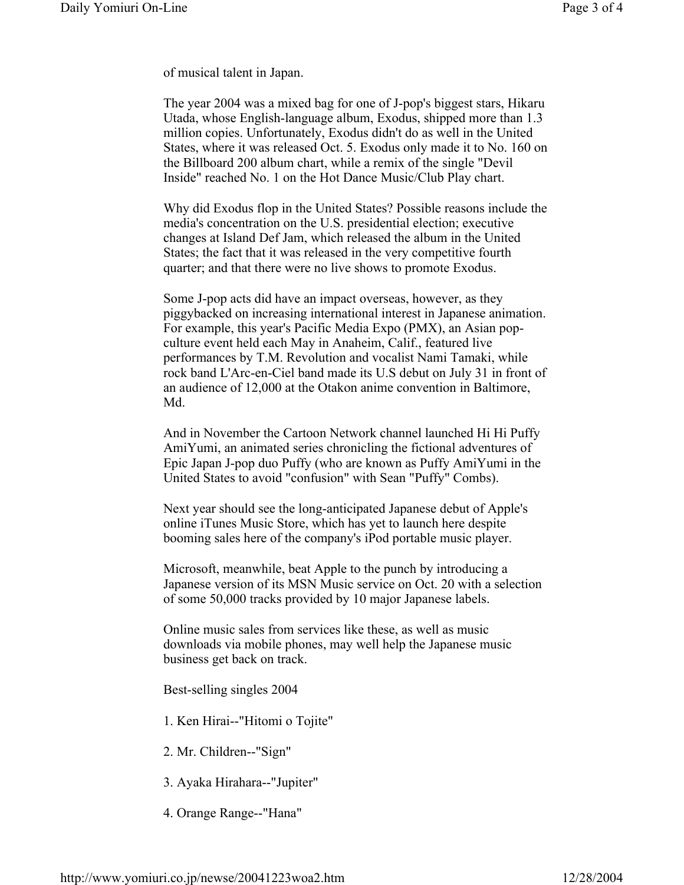of musical talent in Japan.

The year 2004 was a mixed bag for one of J-pop's biggest stars, Hikaru Utada, whose English-language album, Exodus, shipped more than 1.3 million copies. Unfortunately, Exodus didn't do as well in the United States, where it was released Oct. 5. Exodus only made it to No. 160 on the Billboard 200 album chart, while a remix of the single "Devil Inside" reached No. 1 on the Hot Dance Music/Club Play chart.

Why did Exodus flop in the United States? Possible reasons include the media's concentration on the U.S. presidential election; executive changes at Island Def Jam, which released the album in the United States; the fact that it was released in the very competitive fourth quarter; and that there were no live shows to promote Exodus.

Some J-pop acts did have an impact overseas, however, as they piggybacked on increasing international interest in Japanese animation. For example, this year's Pacific Media Expo (PMX), an Asian popculture event held each May in Anaheim, Calif., featured live performances by T.M. Revolution and vocalist Nami Tamaki, while rock band L'Arc-en-Ciel band made its U.S debut on July 31 in front of an audience of 12,000 at the Otakon anime convention in Baltimore, Md.

And in November the Cartoon Network channel launched Hi Hi Puffy AmiYumi, an animated series chronicling the fictional adventures of Epic Japan J-pop duo Puffy (who are known as Puffy AmiYumi in the United States to avoid "confusion" with Sean "Puffy" Combs).

Next year should see the long-anticipated Japanese debut of Apple's online iTunes Music Store, which has yet to launch here despite booming sales here of the company's iPod portable music player.

Microsoft, meanwhile, beat Apple to the punch by introducing a Japanese version of its MSN Music service on Oct. 20 with a selection of some 50,000 tracks provided by 10 major Japanese labels.

Online music sales from services like these, as well as music downloads via mobile phones, may well help the Japanese music business get back on track.

Best-selling singles 2004

1. Ken Hirai--"Hitomi o Tojite"

2. Mr. Children--"Sign"

3. Ayaka Hirahara--"Jupiter"

4. Orange Range--"Hana"